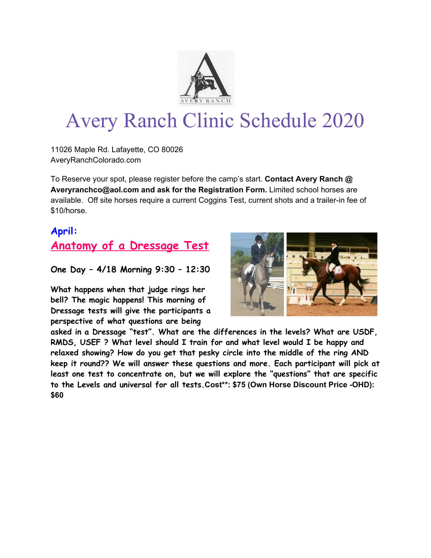

# Avery Ranch Clinic Schedule 2020

11026 Maple Rd. Lafayette, CO 80026 AveryRanchColorado.com

To Reserve your spot, please register before the camp's start. **Contact Avery Ranch @ Averyranchco@aol.com and ask for the Registration Form.** Limited school horses are available. Off site horses require a current Coggins Test, current shots and a trailer-in fee of \$10/horse.

#### **April:**

## **Anatomy of a Dressage Test**

**One Day – 4/18 Morning 9:30 – 12:30**

**What happens when that judge rings her bell? The magic happens! This morning of Dressage tests will give the participants a perspective of what questions are being**



**asked in a Dressage "test". What are the differences in the levels? What are USDF, RMDS, USEF ? What level should I train for and what level would I be happy and relaxed showing? How do you get that pesky circle into the middle of the ring AND keep it round?? We will answer these questions and more. Each participant will pick at least one test to concentrate on, but we will explore the "questions" that are specific to the Levels and universal for all tests.Cost\*\*: \$75 (Own Horse Discount Price -OHD): \$60**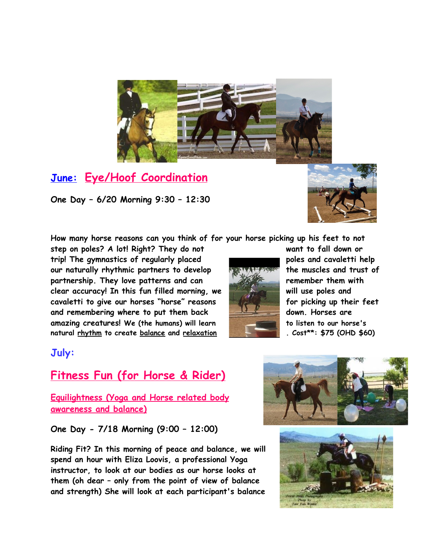

#### **June: Eye/Hoof Coordination**

**One Day – 6/20 Morning 9:30 – 12:30**



**How many horse reasons can you think of for your horse picking up his feet to not**

**step on poles? A lot! Right? They do not want to fall down or trip! The gymnastics of regularly placed poles and cavaletti help our naturally rhythmic partners to develop the muscles and trust of partnership. They love patterns and can remember them with clear accuracy! In this fun filled morning, we will use poles and cavaletti to give our horses "horse" reasons for picking up their feet and remembering where to put them back down. Horses are amazing creatures! We (the humans) will learn to listen to our horse's natural rhythm to create balance and relaxation . Cost\*\*: \$75 (OHD \$60)**



#### **July:**

### **Fitness Fun (for Horse & Rider)**

**Equilightness (Yoga and Horse related body awareness and balance)**

**One Day - 7/18 Morning (9:00 – 12:00)**

**Riding Fit? In this morning of peace and balance, we will spend an hour with Eliza Loovis, a professional Yoga instructor, to look at our bodies as our horse looks at them (oh dear – only from the point of view of balance and strength) She will look at each participant's balance**